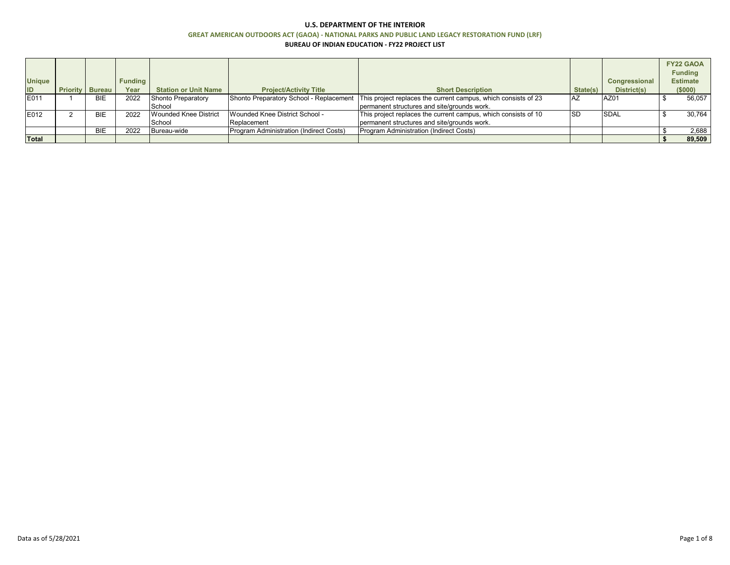# **U.S. DEPARTMENT OF THE INTERIOR GREAT AMERICAN OUTDOORS ACT (GAOA) - NATIONAL PARKS AND PUBLIC LAND LEGACY RESTORATION FUND (LRF) BUREAU OF INDIAN EDUCATION - FY22 PROJECT LIST**

|               |                        |                |                             |                                         |                                                                |           |               | <b>FY22 GAOA</b> |
|---------------|------------------------|----------------|-----------------------------|-----------------------------------------|----------------------------------------------------------------|-----------|---------------|------------------|
|               |                        |                |                             |                                         |                                                                |           |               | <b>Funding</b>   |
| <b>Unique</b> |                        | <b>Funding</b> |                             |                                         |                                                                |           | Congressional | <b>Estimate</b>  |
| ID            | <b>Priority Bureau</b> | Year           | <b>Station or Unit Name</b> | <b>Project/Activity Title</b>           | <b>Short Description</b>                                       | State(s)  | District(s)   | (\$000)          |
| E011          | <b>BIE</b>             | 2022           | Shonto Preparatory          | Shonto Preparatory School - Replacement | This project replaces the current campus, which consists of 23 | <b>AZ</b> | AZ01          | 56,057           |
|               |                        |                | School                      |                                         | permanent structures and site/grounds work.                    |           |               |                  |
| E012          | <b>BIE</b>             | 2022           | Wounded Knee District       | Wounded Knee District School -          | This project replaces the current campus, which consists of 10 | <b>SD</b> | <b>SDAL</b>   | 30,764           |
|               |                        |                | School                      | Replacement                             | permanent structures and site/grounds work.                    |           |               |                  |
|               | <b>BIE</b>             | 2022           | Bureau-wide                 | Program Administration (Indirect Costs) | Program Administration (Indirect Costs)                        |           |               | 2.688            |
| <b>Total</b>  |                        |                |                             |                                         |                                                                |           |               | 89,509           |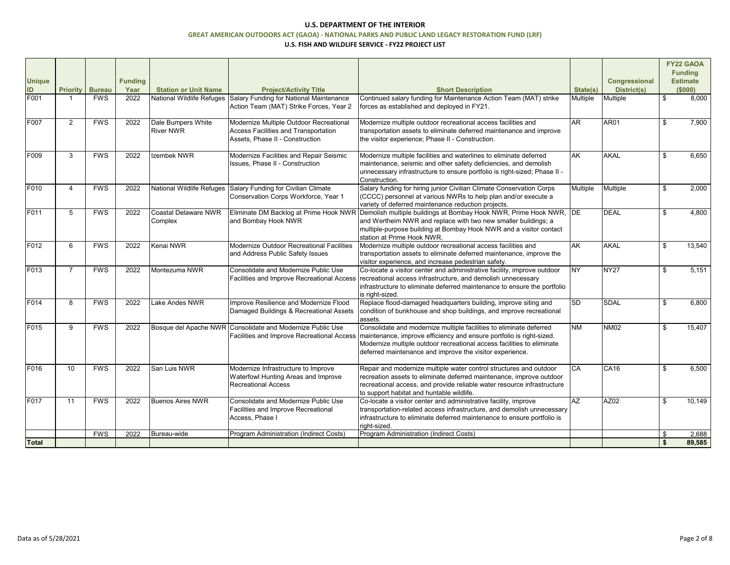## **U.S. DEPARTMENT OF THE INTERIOR GREAT AMERICAN OUTDOORS ACT (GAOA) - NATIONAL PARKS AND PUBLIC LAND LEGACY RESTORATION FUND (LRF) U.S. FISH AND WILDLIFE SERVICE - FY22 PROJECT LIST**

| <b>Unique</b><br>ID | <b>Priority</b> | <b>Bureau</b> | <b>Funding</b><br>Year | <b>Station or Unit Name</b>            | <b>Project/Activity Title</b>                                                                                      | <b>Short Description</b>                                                                                                                                                                                                                                                          | State(s)  | <b>Congressional</b><br>District(s) |           | <b>FY22 GAOA</b><br><b>Funding</b><br><b>Estimate</b><br>(\$000) |
|---------------------|-----------------|---------------|------------------------|----------------------------------------|--------------------------------------------------------------------------------------------------------------------|-----------------------------------------------------------------------------------------------------------------------------------------------------------------------------------------------------------------------------------------------------------------------------------|-----------|-------------------------------------|-----------|------------------------------------------------------------------|
| F001                | $\overline{1}$  | <b>FWS</b>    | 2022                   |                                        | National Wildlife Refuges Salary Funding for National Maintenance<br>Action Team (MAT) Strike Forces, Year 2       | Continued salary funding for Maintenance Action Team (MAT) strike<br>forces as established and deployed in FY21.                                                                                                                                                                  | Multiple  | Multiple                            | \$        | 8,000                                                            |
| F007                | $\overline{2}$  | <b>FWS</b>    | 2022                   | Dale Bumpers White<br><b>River NWR</b> | Modernize Multiple Outdoor Recreational<br>Access Facilities and Transportation<br>Assets, Phase II - Construction | Modernize multiple outdoor recreational access facilities and<br>transportation assets to eliminate deferred maintenance and improve<br>the visitor experience; Phase II - Construction.                                                                                          | AR        | AR01                                | \$        | 7.900                                                            |
| F009                | 3               | <b>FWS</b>    | 2022                   | Izembek NWR                            | Modernize Facilities and Repair Seismic<br>Issues, Phase II - Construction                                         | Modernize multiple facilities and waterlines to eliminate deferred<br>maintenance, seismic and other safety deficiencies, and demolish<br>unnecessary infrastructure to ensure portfolio is right-sized; Phase II -<br>Construction.                                              | AK        | <b>AKAL</b>                         | \$        | 6,650                                                            |
| F010                | $\overline{4}$  | <b>FWS</b>    | 2022                   | <b>National Wildlife Refuges</b>       | Salary Funding for Civilian Climate<br>Conservation Corps Workforce, Year 1                                        | Salary funding for hiring junior Civilian Climate Conservation Corps<br>(CCCC) personnel at various NWRs to help plan and/or execute a<br>variety of deferred maintenance reduction projects.                                                                                     | Multiple  | Multiple                            | \$        | 2,000                                                            |
| F011                | 5               | <b>FWS</b>    | 2022                   | Coastal Delaware NWR<br>Complex        | Eliminate DM Backlog at Prime Hook NWR<br>and Bombay Hook NWR                                                      | Demolish multiple buildings at Bombay Hook NWR, Prime Hook NWR, DE<br>and Wertheim NWR and replace with two new smaller buildings; a<br>multiple-purpose building at Bombay Hook NWR and a visitor contact<br>station at Prime Hook NWR.                                          |           | <b>DEAL</b>                         | \$        | 4,800                                                            |
| F012                | 6               | <b>FWS</b>    | 2022                   | Kenai NWR                              | Modernize Outdoor Recreational Facilities<br>and Address Public Safety Issues                                      | Modernize multiple outdoor recreational access facilities and<br>transportation assets to eliminate deferred maintenance, improve the<br>visitor experience, and increase pedestrian safety.                                                                                      | AK        | AKAL                                | \$        | 13,540                                                           |
| F013                | $\overline{7}$  | <b>FWS</b>    | 2022                   | Montezuma NWR                          | Consolidate and Modernize Public Use<br>Facilities and Improve Recreational Access                                 | Co-locate a visitor center and administrative facility, improve outdoor<br>recreational access infrastructure, and demolish unnecessary<br>infrastructure to eliminate deferred maintenance to ensure the portfolio<br>is right-sized.                                            | <b>NY</b> | <b>NY27</b>                         | \$        | 5,151                                                            |
| F014                | 8               | <b>FWS</b>    | 2022                   | Lake Andes NWR                         | Improve Resilience and Modernize Flood<br>Damaged Buildings & Recreational Assets                                  | Replace flood-damaged headquarters building, improve siting and<br>condition of bunkhouse and shop buildings, and improve recreational<br>assets.                                                                                                                                 | SD        | SDAL                                | \$        | 6,800                                                            |
| F015                | 9               | <b>FWS</b>    | 2022                   |                                        | Bosque del Apache NWR Consolidate and Modernize Public Use<br><b>Facilities and Improve Recreational Access</b>    | Consolidate and modernize multiple facilities to eliminate deferred<br>maintenance, improve efficiency and ensure portfolio is right-sized.<br>Modernize multiple outdoor recreational access facilities to eliminate<br>deferred maintenance and improve the visitor experience. | <b>NM</b> | <b>NM02</b>                         | \$        | 15.407                                                           |
| F016                | 10              | <b>FWS</b>    | 2022                   | San Luis NWR                           | Modernize Infrastructure to Improve<br>Waterfowl Hunting Areas and Improve<br><b>Recreational Access</b>           | Repair and modernize multiple water control structures and outdoor<br>recreation assets to eliminate deferred maintenance, improve outdoor<br>recreational access, and provide reliable water resource infrastructure<br>to support habitat and huntable wildlife.                | CA        | CA16                                | \$        | 6,500                                                            |
| F017                | 11              | <b>FWS</b>    | 2022                   | <b>Buenos Aires NWR</b>                | Consolidate and Modernize Public Use<br>Facilities and Improve Recreational<br>Access, Phase I                     | Co-locate a visitor center and administrative facility, improve<br>transportation-related access infrastructure, and demolish unnecessary<br>infrastructure to eliminate deferred maintenance to ensure portfolio is<br>right-sized.                                              | <b>AZ</b> | AZ02                                | \$        | 10.149                                                           |
| <b>Total</b>        |                 | <b>FWS</b>    | 2022                   | Bureau-wide                            | <b>Program Administration (Indirect Costs)</b>                                                                     | <b>Program Administration (Indirect Costs)</b>                                                                                                                                                                                                                                    |           |                                     | -\$<br>\$ | 2,688<br>89.585                                                  |
|                     |                 |               |                        |                                        |                                                                                                                    |                                                                                                                                                                                                                                                                                   |           |                                     |           |                                                                  |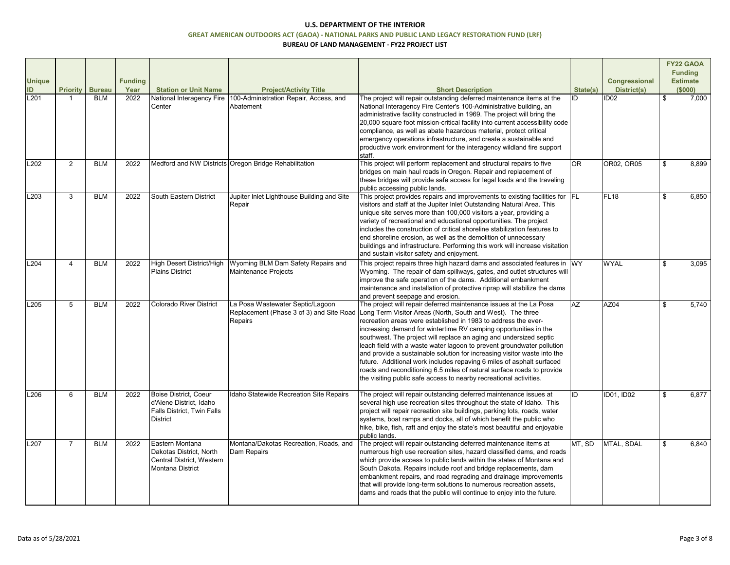# **U.S. DEPARTMENT OF THE INTERIOR GREAT AMERICAN OUTDOORS ACT (GAOA) - NATIONAL PARKS AND PUBLIC LAND LEGACY RESTORATION FUND (LRF) BUREAU OF LAND MANAGEMENT - FY22 PROJECT LIST**

| <b>Unique</b><br>ID | <b>Priority</b>      | <b>Bureau</b> | <b>Funding</b><br>Year | <b>Station or Unit Name</b>                                                                       | <b>Project/Activity Title</b>                                                           | <b>Short Description</b>                                                                                                                                                                                                                                                                                                                                                                                                                                                                                                                                                                                                                                                                                                    | State(s)  | Congressional<br>District(s) |                | <b>FY22 GAOA</b><br><b>Funding</b><br><b>Estimate</b><br>(\$000) |
|---------------------|----------------------|---------------|------------------------|---------------------------------------------------------------------------------------------------|-----------------------------------------------------------------------------------------|-----------------------------------------------------------------------------------------------------------------------------------------------------------------------------------------------------------------------------------------------------------------------------------------------------------------------------------------------------------------------------------------------------------------------------------------------------------------------------------------------------------------------------------------------------------------------------------------------------------------------------------------------------------------------------------------------------------------------------|-----------|------------------------------|----------------|------------------------------------------------------------------|
| L201                | $\blacktriangleleft$ | <b>BLM</b>    | 2022                   | National Interagency Fire<br>Center                                                               | 100-Administration Repair, Access, and<br>Abatement                                     | The project will repair outstanding deferred maintenance items at the<br>National Interagency Fire Center's 100-Administrative building, an<br>administrative facility constructed in 1969. The project will bring the<br>20,000 square foot mission-critical facility into current accessibility code<br>compliance, as well as abate hazardous material, protect critical<br>emergency operations infrastructure, and create a sustainable and<br>productive work environment for the interagency wildland fire support<br>staff.                                                                                                                                                                                         | ID        | ID <sub>02</sub>             | $\mathfrak{L}$ | 7,000                                                            |
| L202                | 2                    | <b>BLM</b>    | 2022                   |                                                                                                   | Medford and NW Districts Oregon Bridge Rehabilitation                                   | This project will perform replacement and structural repairs to five<br>bridges on main haul roads in Oregon. Repair and replacement of<br>these bridges will provide safe access for legal loads and the traveling<br>public accessing public lands.                                                                                                                                                                                                                                                                                                                                                                                                                                                                       | <b>OR</b> | OR02, OR05                   | $\mathfrak{L}$ | 8,899                                                            |
| L203                | 3                    | <b>BLM</b>    | 2022                   | South Eastern District                                                                            | Jupiter Inlet Lighthouse Building and Site<br>Repair                                    | This project provides repairs and improvements to existing facilities for FL<br>visitors and staff at the Jupiter Inlet Outstanding Natural Area. This<br>unique site serves more than 100,000 visitors a year, providing a<br>variety of recreational and educational opportunities. The project<br>includes the construction of critical shoreline stabilization features to<br>end shoreline erosion, as well as the demolition of unnecessary<br>buildings and infrastructure. Performing this work will increase visitation<br>and sustain visitor safety and enjoyment.                                                                                                                                               |           | <b>FL18</b>                  | \$             | 6,850                                                            |
| L204                | $\overline{4}$       | <b>BLM</b>    | 2022                   | High Desert District/High<br><b>Plains District</b>                                               | Wyoming BLM Dam Safety Repairs and<br>Maintenance Projects                              | This project repairs three high hazard dams and associated features in WY<br>Wyoming. The repair of dam spillways, gates, and outlet structures will<br>improve the safe operation of the dams. Additional embankment<br>maintenance and installation of protective riprap will stabilize the dams<br>and prevent seepage and erosion.                                                                                                                                                                                                                                                                                                                                                                                      |           | <b>WYAL</b>                  | \$             | 3,095                                                            |
| L205                | 5                    | <b>BLM</b>    | 2022                   | <b>Colorado River District</b>                                                                    | La Posa Wastewater Septic/Lagoon<br>Replacement (Phase 3 of 3) and Site Road<br>Repairs | The project will repair deferred maintenance issues at the La Posa<br>Long Term Visitor Areas (North, South and West). The three<br>recreation areas were established in 1983 to address the ever-<br>increasing demand for wintertime RV camping opportunities in the<br>southwest. The project will replace an aging and undersized septic<br>leach field with a waste water lagoon to prevent groundwater pollution<br>and provide a sustainable solution for increasing visitor waste into the<br>future. Additional work includes repaving 6 miles of asphalt surfaced<br>roads and reconditioning 6.5 miles of natural surface roads to provide<br>the visiting public safe access to nearby recreational activities. | <b>AZ</b> | AZ04                         | $\mathfrak{L}$ | 5,740                                                            |
| L206                | 6                    | <b>BLM</b>    | 2022                   | Boise District, Coeur<br>d'Alene District, Idaho<br>Falls District, Twin Falls<br><b>District</b> | Idaho Statewide Recreation Site Repairs                                                 | The project will repair outstanding deferred maintenance issues at<br>several high use recreation sites throughout the state of Idaho. This<br>project will repair recreation site buildings, parking lots, roads, water<br>systems, boat ramps and docks, all of which benefit the public who<br>hike, bike, fish, raft and enjoy the state's most beautiful and enjoyable<br>public lands.                                                                                                                                                                                                                                                                                                                                | ID        | <b>ID01. ID02</b>            | \$             | 6,877                                                            |
| L207                | $\overline{7}$       | <b>BLM</b>    | 2022                   | Eastern Montana<br>Dakotas District, North<br>Central District, Western<br>Montana District       | Montana/Dakotas Recreation, Roads, and<br>Dam Repairs                                   | The project will repair outstanding deferred maintenance items at<br>numerous high use recreation sites, hazard classified dams, and roads<br>which provide access to public lands within the states of Montana and<br>South Dakota. Repairs include roof and bridge replacements, dam<br>embankment repairs, and road regrading and drainage improvements<br>that will provide long-term solutions to numerous recreation assets,<br>dams and roads that the public will continue to enjoy into the future.                                                                                                                                                                                                                | MT, SD    | MTAL, SDAL                   | \$             | 6,840                                                            |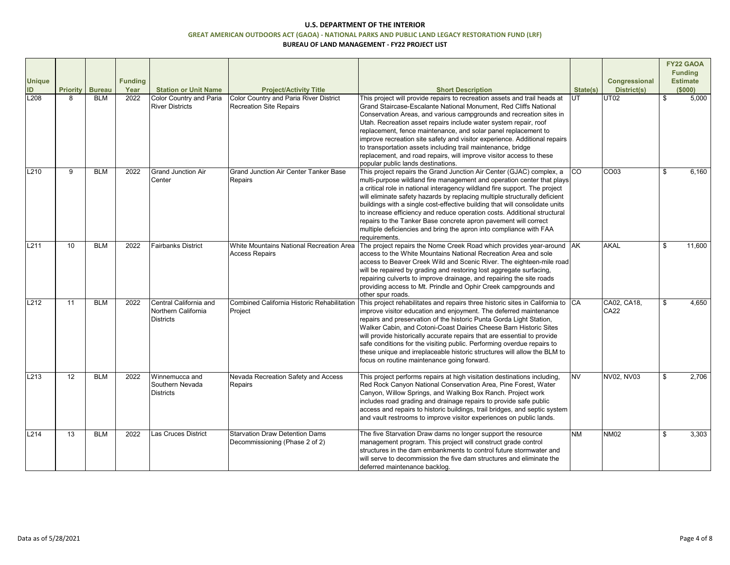# **U.S. DEPARTMENT OF THE INTERIOR GREAT AMERICAN OUTDOORS ACT (GAOA) - NATIONAL PARKS AND PUBLIC LAND LEGACY RESTORATION FUND (LRF) BUREAU OF LAND MANAGEMENT - FY22 PROJECT LIST**

|               |                      |                             |                |                                                                                  |                                                                                                           |                                                                                                                                                                                                                                                                                                                                                                                                                                                                                                                                                                                                                                                  |                |                            | <b>FY22 GAOA</b><br><b>Funding</b> |
|---------------|----------------------|-----------------------------|----------------|----------------------------------------------------------------------------------|-----------------------------------------------------------------------------------------------------------|--------------------------------------------------------------------------------------------------------------------------------------------------------------------------------------------------------------------------------------------------------------------------------------------------------------------------------------------------------------------------------------------------------------------------------------------------------------------------------------------------------------------------------------------------------------------------------------------------------------------------------------------------|----------------|----------------------------|------------------------------------|
| <b>Unique</b> |                      |                             | <b>Funding</b> |                                                                                  |                                                                                                           |                                                                                                                                                                                                                                                                                                                                                                                                                                                                                                                                                                                                                                                  |                | Congressional              | <b>Estimate</b>                    |
| ID<br>L208    | <b>Priority</b><br>8 | <b>Bureau</b><br><b>BLM</b> | Year<br>2022   | <b>Station or Unit Name</b><br>Color Country and Paria<br><b>River Districts</b> | <b>Project/Activity Title</b><br>Color Country and Paria River District<br><b>Recreation Site Repairs</b> | <b>Short Description</b><br>This project will provide repairs to recreation assets and trail heads at<br>Grand Staircase-Escalante National Monument, Red Cliffs National<br>Conservation Areas, and various campgrounds and recreation sites in<br>Utah. Recreation asset repairs include water system repair, roof<br>replacement, fence maintenance, and solar panel replacement to<br>improve recreation site safety and visitor experience. Additional repairs<br>to transportation assets including trail maintenance, bridge<br>replacement, and road repairs, will improve visitor access to these<br>popular public lands destinations. | State(s)<br>UT | District(s)<br><b>UT02</b> | \$<br>(\$000)<br>5,000             |
| L210          | 9                    | <b>BLM</b>                  | 2022           | <b>Grand Junction Air</b><br>Center                                              | <b>Grand Junction Air Center Tanker Base</b><br>Repairs                                                   | This project repairs the Grand Junction Air Center (GJAC) complex, a<br>multi-purpose wildland fire management and operation center that plays<br>a critical role in national interagency wildland fire support. The project<br>will eliminate safety hazards by replacing multiple structurally deficient<br>buildings with a single cost-effective building that will consolidate units<br>to increase efficiency and reduce operation costs. Additional structural<br>repairs to the Tanker Base concrete apron pavement will correct<br>multiple deficiencies and bring the apron into compliance with FAA<br>requirements.                  | <b>CO</b>      | CO03                       | \$<br>6,160                        |
| L211          | 10                   | <b>BLM</b>                  | 2022           | <b>Fairbanks District</b>                                                        | White Mountains National Recreation Area<br><b>Access Repairs</b>                                         | The project repairs the Nome Creek Road which provides year-around AK<br>access to the White Mountains National Recreation Area and sole<br>access to Beaver Creek Wild and Scenic River. The eighteen-mile road<br>will be repaired by grading and restoring lost aggregate surfacing,<br>repairing culverts to improve drainage, and repairing the site roads<br>providing access to Mt. Prindle and Ophir Creek campgrounds and<br>other spur roads.                                                                                                                                                                                          |                | <b>AKAL</b>                | 11,600                             |
| L212          | 11                   | <b>BLM</b>                  | 2022           | Central California and<br>Northern California<br><b>Districts</b>                | Combined California Historic Rehabilitation<br>Project                                                    | This project rehabilitates and repairs three historic sites in California to CA<br>improve visitor education and enjoyment. The deferred maintenance<br>repairs and preservation of the historic Punta Gorda Light Station,<br>Walker Cabin, and Cotoni-Coast Dairies Cheese Barn Historic Sites<br>will provide historically accurate repairs that are essential to provide<br>safe conditions for the visiting public. Performing overdue repairs to<br>these unique and irreplaceable historic structures will allow the BLM to<br>focus on routine maintenance going forward.                                                                |                | CA02, CA18,<br>CA22        | \$<br>4,650                        |
| L213          | 12                   | <b>BLM</b>                  | 2022           | Winnemucca and<br>Southern Nevada<br><b>Districts</b>                            | Nevada Recreation Safety and Access<br>Repairs                                                            | This project performs repairs at high visitation destinations including,<br>Red Rock Canyon National Conservation Area, Pine Forest, Water<br>Canyon, Willow Springs, and Walking Box Ranch. Project work<br>includes road grading and drainage repairs to provide safe public<br>access and repairs to historic buildings, trail bridges, and septic system<br>and vault restrooms to improve visitor experiences on public lands.                                                                                                                                                                                                              | <b>NV</b>      | NV02, NV03                 | \$<br>2.706                        |
| L214          | 13                   | <b>BLM</b>                  | 2022           | <b>Las Cruces District</b>                                                       | <b>Starvation Draw Detention Dams</b><br>Decommissioning (Phase 2 of 2)                                   | The five Starvation Draw dams no longer support the resource<br>management program. This project will construct grade control<br>structures in the dam embankments to control future stormwater and<br>will serve to decommission the five dam structures and eliminate the<br>deferred maintenance backlog.                                                                                                                                                                                                                                                                                                                                     | <b>NM</b>      | <b>NM02</b>                | \$<br>3.303                        |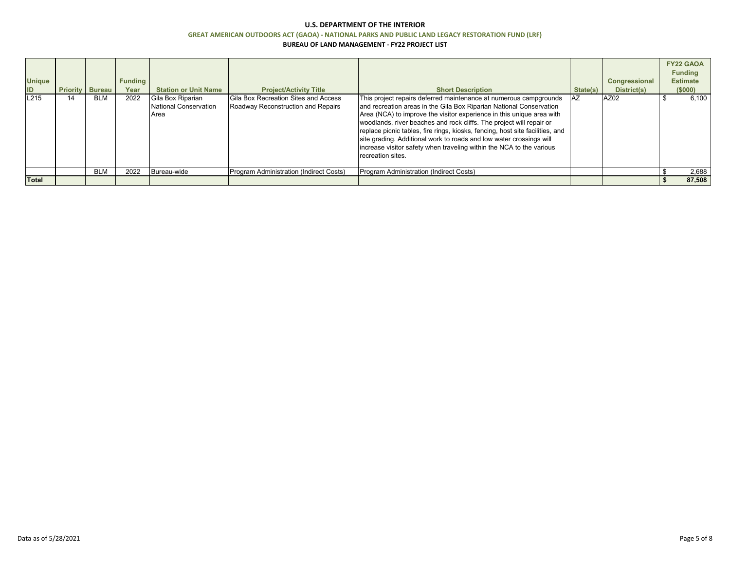# **U.S. DEPARTMENT OF THE INTERIOR GREAT AMERICAN OUTDOORS ACT (GAOA) - NATIONAL PARKS AND PUBLIC LAND LEGACY RESTORATION FUND (LRF) BUREAU OF LAND MANAGEMENT - FY22 PROJECT LIST**

| <b>Unique</b> |                        | <b>Funding</b> |                                                           |                                                                            |                                                                                                                                                                                                                                                                                                                                                                                                                                                                                                                                                |          | Congressional | <b>FY22 GAOA</b><br><b>Funding</b><br><b>Estimate</b> |
|---------------|------------------------|----------------|-----------------------------------------------------------|----------------------------------------------------------------------------|------------------------------------------------------------------------------------------------------------------------------------------------------------------------------------------------------------------------------------------------------------------------------------------------------------------------------------------------------------------------------------------------------------------------------------------------------------------------------------------------------------------------------------------------|----------|---------------|-------------------------------------------------------|
|               |                        |                |                                                           |                                                                            |                                                                                                                                                                                                                                                                                                                                                                                                                                                                                                                                                |          |               |                                                       |
| ID            | <b>Priority Bureau</b> | Year           | <b>Station or Unit Name</b>                               | <b>Project/Activity Title</b>                                              | <b>Short Description</b>                                                                                                                                                                                                                                                                                                                                                                                                                                                                                                                       | State(s) | District(s)   | (\$000)                                               |
| L215          | <b>BLM</b>             | 2022           | Gila Box Riparian<br><b>National Conservation</b><br>Area | Gila Box Recreation Sites and Access<br>Roadway Reconstruction and Repairs | This project repairs deferred maintenance at numerous campgrounds<br>and recreation areas in the Gila Box Riparian National Conservation<br>Area (NCA) to improve the visitor experience in this unique area with<br>woodlands, river beaches and rock cliffs. The project will repair or<br>replace picnic tables, fire rings, kiosks, fencing, host site facilities, and<br>site grading. Additional work to roads and low water crossings will<br>increase visitor safety when traveling within the NCA to the various<br>recreation sites. | AZ       | AZ02          | 6.100                                                 |
|               | <b>BLM</b>             | 2022           | Bureau-wide                                               | Program Administration (Indirect Costs)                                    | Program Administration (Indirect Costs)                                                                                                                                                                                                                                                                                                                                                                                                                                                                                                        |          |               | 2,688                                                 |
| <b>Total</b>  |                        |                |                                                           |                                                                            |                                                                                                                                                                                                                                                                                                                                                                                                                                                                                                                                                |          |               | 87,508                                                |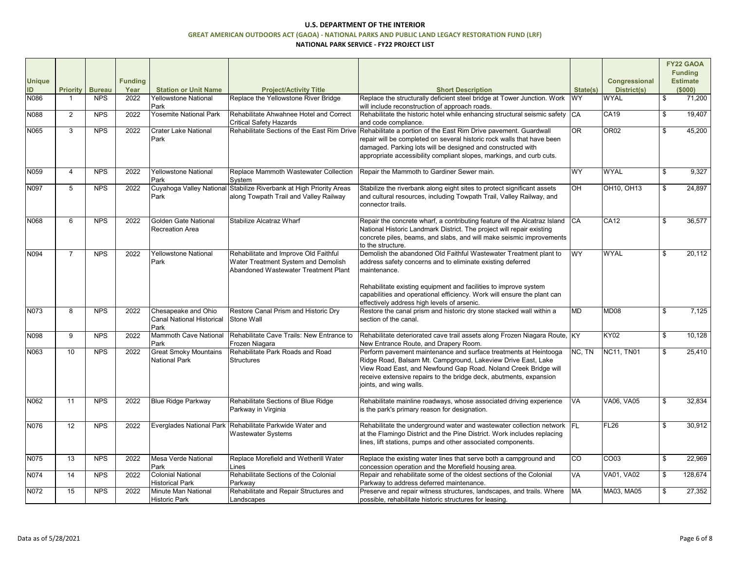# **U.S. DEPARTMENT OF THE INTERIOR GREAT AMERICAN OUTDOORS ACT (GAOA) - NATIONAL PARKS AND PUBLIC LAND LEGACY RESTORATION FUND (LRF) NATIONAL PARK SERVICE - FY22 PROJECT LIST**

| <b>Unique</b><br>ID | <b>Priority</b> | <b>Bureau</b> | <b>Funding</b><br>Year | <b>Station or Unit Name</b>                                     | <b>Project/Activity Title</b>                                                                                        | <b>Short Description</b>                                                                                                                                                                                                                                                                                                                      | State(s)        | <b>Congressional</b><br>District(s) | <b>FY22 GAOA</b><br><b>Funding</b><br><b>Estimate</b><br>(\$000) |
|---------------------|-----------------|---------------|------------------------|-----------------------------------------------------------------|----------------------------------------------------------------------------------------------------------------------|-----------------------------------------------------------------------------------------------------------------------------------------------------------------------------------------------------------------------------------------------------------------------------------------------------------------------------------------------|-----------------|-------------------------------------|------------------------------------------------------------------|
| N086                | $\mathbf{1}$    | <b>NPS</b>    | 2022                   | <b>Yellowstone National</b><br>Park                             | Replace the Yellowstone River Bridge                                                                                 | Replace the structurally deficient steel bridge at Tower Junction. Work<br>will include reconstruction of approach roads.                                                                                                                                                                                                                     | <b>WY</b>       | <b>WYAL</b>                         | \$<br>71,200                                                     |
| N088                | $\overline{2}$  | <b>NPS</b>    | 2022                   | <b>Yosemite National Park</b>                                   | Rehabilitate Ahwahnee Hotel and Correct<br>Critical Safety Hazards                                                   | Rehabilitate the historic hotel while enhancing structural seismic safety<br>and code compliance.                                                                                                                                                                                                                                             | CA              | CA19                                | \$<br>19,407                                                     |
| N065                | $\overline{3}$  | <b>NPS</b>    | 2022                   | <b>Crater Lake National</b><br>Park                             | Rehabilitate Sections of the East Rim Drive                                                                          | Rehabilitate a portion of the East Rim Drive pavement. Guardwall<br>repair will be completed on several historic rock walls that have been<br>damaged. Parking lots will be designed and constructed with<br>appropriate accessibility compliant slopes, markings, and curb cuts.                                                             | $\overline{OR}$ | OR <sub>02</sub>                    | \$<br>45,200                                                     |
| N059                | $\overline{4}$  | <b>NPS</b>    | 2022                   | <b>Yellowstone National</b><br>Park                             | Replace Mammoth Wastewater Collection<br>System                                                                      | Repair the Mammoth to Gardiner Sewer main.                                                                                                                                                                                                                                                                                                    | <b>WY</b>       | <b>WYAL</b>                         | \$<br>9,327                                                      |
| N097                | 5               | <b>NPS</b>    | 2022                   | Park                                                            | Cuyahoga Valley National Stabilize Riverbank at High Priority Areas<br>along Towpath Trail and Valley Railway        | Stabilize the riverbank along eight sites to protect significant assets<br>and cultural resources, including Towpath Trail, Valley Railway, and<br>connector trails.                                                                                                                                                                          | OH              | OH10, OH13                          | \$<br>24,897                                                     |
| N068                | 6               | <b>NPS</b>    | 2022                   | <b>Golden Gate National</b><br>Recreation Area                  | Stabilize Alcatraz Wharf                                                                                             | Repair the concrete wharf, a contributing feature of the Alcatraz Island CA<br>National Historic Landmark District. The project will repair existing<br>concrete piles, beams, and slabs, and will make seismic improvements<br>to the structure.                                                                                             |                 | CA12                                | \$<br>36,577                                                     |
| N094                | $\overline{7}$  | <b>NPS</b>    | 2022                   | <b>Yellowstone National</b><br>Park                             | Rehabilitate and Improve Old Faithful<br>Water Treatment System and Demolish<br>Abandoned Wastewater Treatment Plant | Demolish the abandoned Old Faithful Wastewater Treatment plant to<br>address safety concerns and to eliminate existing deferred<br>maintenance.<br>Rehabilitate existing equipment and facilities to improve system<br>capabilities and operational efficiency. Work will ensure the plant can<br>effectively address high levels of arsenic. | <b>WY</b>       | <b>WYAL</b>                         | \$<br>20.112                                                     |
| N073                | 8               | <b>NPS</b>    | 2022                   | Chesapeake and Ohio<br><b>Canal National Historical</b><br>Park | Restore Canal Prism and Historic Dry<br>Stone Wall                                                                   | Restore the canal prism and historic dry stone stacked wall within a<br>section of the canal.                                                                                                                                                                                                                                                 | MD              | MD <sub>08</sub>                    | \$<br>7,125                                                      |
| N098                | 9               | <b>NPS</b>    | 2022                   | <b>Mammoth Cave National</b><br>Park                            | Rehabilitate Cave Trails: New Entrance to<br>Frozen Niagara                                                          | Rehabilitate deteriorated cave trail assets along Frozen Niagara Route, KY<br>New Entrance Route, and Drapery Room.                                                                                                                                                                                                                           |                 | <b>KY02</b>                         | \$<br>10,128                                                     |
| N063                | 10              | <b>NPS</b>    | 2022                   | <b>Great Smoky Mountains</b><br><b>National Park</b>            | Rehabilitate Park Roads and Road<br><b>Structures</b>                                                                | Perform pavement maintenance and surface treatments at Heintooga<br>Ridge Road, Balsam Mt. Campground, Lakeview Drive East, Lake<br>View Road East, and Newfound Gap Road. Noland Creek Bridge will<br>receive extensive repairs to the bridge deck, abutments, expansion<br>joints, and wing walls.                                          | NC, TN          | <b>NC11, TN01</b>                   | \$<br>25,410                                                     |
| N062                | 11              | <b>NPS</b>    | 2022                   | <b>Blue Ridge Parkway</b>                                       | Rehabilitate Sections of Blue Ridge<br>Parkway in Virginia                                                           | Rehabilitate mainline roadways, whose associated driving experience<br>is the park's primary reason for designation.                                                                                                                                                                                                                          | VA              | <b>VA06, VA05</b>                   | \$<br>32,834                                                     |
| N076                | 12              | <b>NPS</b>    | 2022                   | <b>Everglades National Park</b>                                 | Rehabilitate Parkwide Water and<br><b>Wastewater Systems</b>                                                         | Rehabilitate the underground water and wastewater collection network FL<br>at the Flamingo District and the Pine District. Work includes replacing<br>lines, lift stations, pumps and other associated components.                                                                                                                            |                 | FL26                                | \$<br>30,912                                                     |
| N075                | 13              | <b>NPS</b>    | 2022                   | Mesa Verde National<br>Park                                     | Replace Morefield and Wetherill Water<br>Lines                                                                       | Replace the existing water lines that serve both a campground and<br>concession operation and the Morefield housing area.                                                                                                                                                                                                                     | <b>CO</b>       | CO03                                | \$<br>22,969                                                     |
| N074                | 14              | <b>NPS</b>    | 2022                   | <b>Colonial National</b><br><b>Historical Park</b>              | Rehabilitate Sections of the Colonial<br>Parkway                                                                     | Repair and rehabilitate some of the oldest sections of the Colonial<br>Parkway to address deferred maintenance.                                                                                                                                                                                                                               | VA              | VA01, VA02                          | \$<br>128,674                                                    |
| N072                | 15              | <b>NPS</b>    | 2022                   | Minute Man National<br><b>Historic Park</b>                     | Rehabilitate and Repair Structures and<br>Landscapes                                                                 | Preserve and repair witness structures, landscapes, and trails. Where<br>possible, rehabilitate historic structures for leasing.                                                                                                                                                                                                              | MA              | MA03, MA05                          | \$<br>27,352                                                     |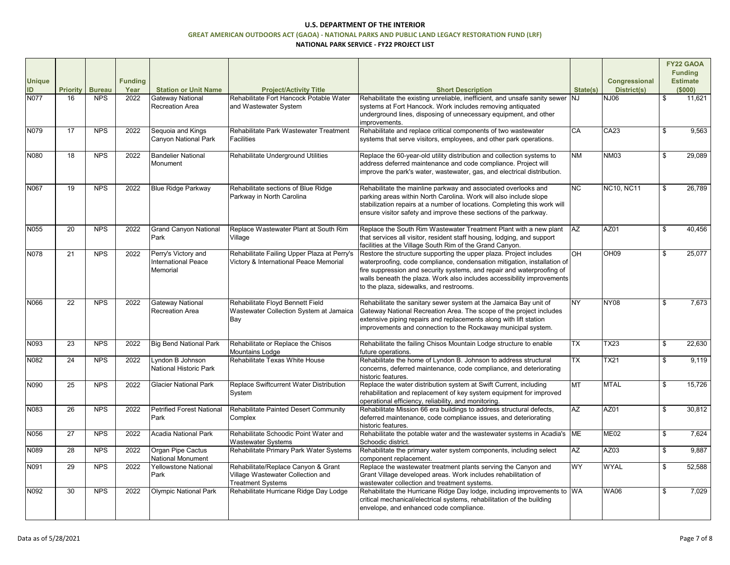# **U.S. DEPARTMENT OF THE INTERIOR GREAT AMERICAN OUTDOORS ACT (GAOA) - NATIONAL PARKS AND PUBLIC LAND LEGACY RESTORATION FUND (LRF) NATIONAL PARK SERVICE - FY22 PROJECT LIST**

| <b>Unique</b><br>ID. | <b>Priority</b> | <b>Bureau</b> | <b>Funding</b><br>Year | <b>Station or Unit Name</b>                                   | <b>Project/Activity Title</b>                                                                        | <b>Short Description</b>                                                                                                                                                                                                                                                                                                                      | State(s)        | Congressional<br>District(s) | <b>FY22 GAOA</b><br><b>Funding</b><br><b>Estimate</b><br>(\$000) |
|----------------------|-----------------|---------------|------------------------|---------------------------------------------------------------|------------------------------------------------------------------------------------------------------|-----------------------------------------------------------------------------------------------------------------------------------------------------------------------------------------------------------------------------------------------------------------------------------------------------------------------------------------------|-----------------|------------------------------|------------------------------------------------------------------|
| <b>N077</b>          | 16              | <b>NPS</b>    | 2022                   | <b>Gateway National</b><br><b>Recreation Area</b>             | Rehabilitate Fort Hancock Potable Water<br>and Wastewater System                                     | Rehabilitate the existing unreliable, inefficient, and unsafe sanity sewer NJ<br>systems at Fort Hancock. Work includes removing antiquated<br>underground lines, disposing of unnecessary equipment, and other<br>improvements.                                                                                                              |                 | NJ06                         | \$<br>11,621                                                     |
| N079                 | 17              | <b>NPS</b>    | 2022                   | Sequoia and Kings<br><b>Canyon National Park</b>              | Rehabilitate Park Wastewater Treatment<br><b>Facilities</b>                                          | Rehabilitate and replace critical components of two wastewater<br>systems that serve visitors, employees, and other park operations.                                                                                                                                                                                                          | CA              | CA23                         | \$<br>9,563                                                      |
| N080                 | 18              | <b>NPS</b>    | 2022                   | <b>Bandelier National</b><br>Monument                         | Rehabilitate Underground Utilities                                                                   | Replace the 60-year-old utility distribution and collection systems to<br>address deferred maintenance and code compliance. Project will<br>improve the park's water, wastewater, gas, and electrical distribution.                                                                                                                           | <b>NM</b>       | <b>NM03</b>                  | \$<br>29,089                                                     |
| N067                 | 19              | <b>NPS</b>    | 2022                   | <b>Blue Ridge Parkway</b>                                     | Rehabilitate sections of Blue Ridge<br>Parkway in North Carolina                                     | Rehabilitate the mainline parkway and associated overlooks and<br>parking areas within North Carolina. Work will also include slope<br>stabilization repairs at a number of locations. Completing this work will<br>ensure visitor safety and improve these sections of the parkway.                                                          | <b>NC</b>       | <b>NC10, NC11</b>            | \$<br>26,789                                                     |
| N055                 | 20              | <b>NPS</b>    | 2022                   | <b>Grand Canyon National</b><br>Park                          | Replace Wastewater Plant at South Rim<br>Village                                                     | Replace the South Rim Wastewater Treatment Plant with a new plant<br>that services all visitor, resident staff housing, lodging, and support<br>facilities at the Village South Rim of the Grand Canyon.                                                                                                                                      | AZ              | AZ01                         | \$<br>40,456                                                     |
| N078                 | 21              | <b>NPS</b>    | 2022                   | Perry's Victory and<br><b>International Peace</b><br>Memorial | Rehabilitate Failing Upper Plaza at Perry's<br>Victory & International Peace Memorial                | Restore the structure supporting the upper plaza. Project includes<br>waterproofing, code compliance, condensation mitigation, installation of<br>fire suppression and security systems, and repair and waterproofing of<br>walls beneath the plaza. Work also includes accessibility improvements<br>to the plaza, sidewalks, and restrooms. | $\overline{CH}$ | OH09                         | \$<br>25,077                                                     |
| N066                 | 22              | <b>NPS</b>    | 2022                   | <b>Gateway National</b><br><b>Recreation Area</b>             | Rehabilitate Floyd Bennett Field<br>Wastewater Collection System at Jamaica<br>Bay                   | Rehabilitate the sanitary sewer system at the Jamaica Bay unit of<br>Gateway National Recreation Area. The scope of the project includes<br>extensive piping repairs and replacements along with lift station<br>improvements and connection to the Rockaway municipal system.                                                                | <b>NY</b>       | <b>NY08</b>                  | \$<br>7,673                                                      |
| N093                 | 23              | <b>NPS</b>    | 2022                   | <b>Big Bend National Park</b>                                 | Rehabilitate or Replace the Chisos<br>Mountains Lodge                                                | Rehabilitate the failing Chisos Mountain Lodge structure to enable<br>future operations.                                                                                                                                                                                                                                                      | <b>TX</b>       | $\overline{\text{TX23}}$     | \$<br>22,630                                                     |
| N082                 | 24              | <b>NPS</b>    | 2022                   | Lyndon B Johnson<br><b>National Historic Park</b>             | Rehabilitate Texas White House                                                                       | Rehabilitate the home of Lyndon B. Johnson to address structural<br>concerns, deferred maintenance, code compliance, and deteriorating<br>historic features.                                                                                                                                                                                  | TX              | TX21                         | \$<br>9,119                                                      |
| N090                 | 25              | <b>NPS</b>    | 2022                   | <b>Glacier National Park</b>                                  | Replace Swiftcurrent Water Distribution<br>System                                                    | Replace the water distribution system at Swift Current, including<br>rehabilitation and replacement of key system equipment for improved<br>operational efficiency, reliability, and monitoring.                                                                                                                                              | MT              | <b>MTAL</b>                  | \$<br>15,726                                                     |
| N083                 | 26              | <b>NPS</b>    | 2022                   | <b>Petrified Forest National</b><br>Park                      | Rehabilitate Painted Desert Community<br>Complex                                                     | Rehabilitate Mission 66 era buildings to address structural defects,<br>deferred maintenance, code compliance issues, and deteriorating<br>historic features.                                                                                                                                                                                 | AZ              | AZ01                         | \$<br>30,812                                                     |
| N056                 | 27              | <b>NPS</b>    | 2022                   | Acadia National Park                                          | Rehabilitate Schoodic Point Water and<br><b>Wastewater Systems</b>                                   | Rehabilitate the potable water and the wastewater systems in Acadia's ME<br>Schoodic district.                                                                                                                                                                                                                                                |                 | ME02                         | \$<br>7,624                                                      |
| N089                 | 28              | <b>NPS</b>    | 2022                   | Organ Pipe Cactus<br><b>National Monument</b>                 | Rehabilitate Primary Park Water Systems                                                              | Rehabilitate the primary water system components, including select<br>component replacement.                                                                                                                                                                                                                                                  | AZ              | AZ03                         | \$<br>9,887                                                      |
| N091                 | 29              | <b>NPS</b>    | 2022                   | <b>Yellowstone National</b><br>Park                           | Rehabilitate/Replace Canyon & Grant<br>Village Wastewater Collection and<br><b>Treatment Systems</b> | Replace the wastewater treatment plants serving the Canyon and<br>Grant Village developed areas. Work includes rehabilitation of<br>wastewater collection and treatment systems.                                                                                                                                                              | <b>WY</b>       | <b>WYAL</b>                  | \$<br>52,588                                                     |
| N092                 | 30              | <b>NPS</b>    | 2022                   | <b>Olympic National Park</b>                                  | Rehabilitate Hurricane Ridge Day Lodge                                                               | Rehabilitate the Hurricane Ridge Day lodge, including improvements to WA<br>critical mechanical/electrical systems, rehabilitation of the building<br>envelope, and enhanced code compliance.                                                                                                                                                 |                 | <b>WA06</b>                  | \$<br>7,029                                                      |